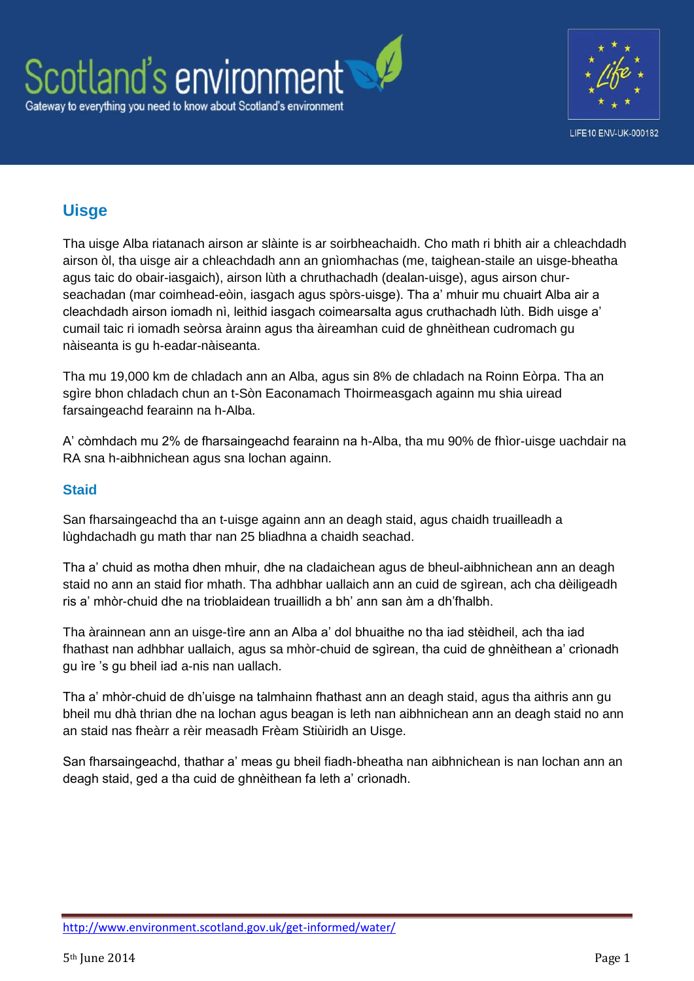



## **Uisge**

Tha uisge Alba riatanach airson ar slàinte is ar soirbheachaidh. Cho math ri bhith air a chleachdadh airson òl, tha uisge air a chleachdadh ann an gnìomhachas (me, taighean-staile an uisge-bheatha agus taic do obair-iasgaich), airson lùth a chruthachadh (dealan-uisge), agus airson churseachadan (mar coimhead-eòin, iasgach agus spòrs-uisge). Tha a' mhuir mu chuairt Alba air a cleachdadh airson iomadh nì, leithid iasgach coimearsalta agus cruthachadh lùth. Bidh uisge a' cumail taic ri iomadh seòrsa àrainn agus tha àireamhan cuid de ghnèithean cudromach gu nàiseanta is gu h-eadar-nàiseanta.

Tha mu [19,000](http://www.scotland.gov.uk/Resource/Doc/345830/0115121.pdf) km de chladach ann an Alba, agus sin 8% de chladach na Roinn Eòrpa. Tha an sgìre bhon chladach chun an t-Sòn Eaconamach Thoirmeasgach againn mu shia uiread farsaingeachd fearainn na h-Alba.

A' còmhdach mu 2% de fharsaingeachd fearainn na h-Alba, tha mu 90% de fhìor-uisge uachdair na RA sna h-aibhnichean agus sna lochan againn.

## **Staid**

San fharsaingeachd tha an t-uisge againn ann an deagh staid, agus chaidh truailleadh a lùghdachadh gu math thar nan 25 bliadhna a chaidh seachad.

Tha a' chuid as motha dhen mhuir, dhe na cladaichean agus de bheul-aibhnichean ann an deagh staid no ann an staid fìor mhath. Tha adhbhar uallaich ann an cuid de sgìrean, ach cha dèiligeadh ris a' mhòr-chuid dhe na trioblaidean truaillidh a bh' ann san àm a dh'fhalbh.

Tha àrainnean ann an uisge-tìre ann an Alba a' dol bhuaithe no tha iad stèidheil, ach tha iad fhathast nan adhbhar uallaich, agus sa mhòr-chuid de sgìrean, tha cuid de ghnèithean a' crìonadh gu ìre 's gu bheil iad a-nis nan uallach.

Tha a' mhòr-chuid de dh'uisge na talmhainn fhathast ann an deagh staid, agus tha aithris ann gu bheil mu dhà thrian dhe na lochan agus beagan is leth nan aibhnichean ann an deagh staid no ann an staid nas fheàrr a rèir measadh Frèam Stiùiridh an Uisge.

San fharsaingeachd, thathar a' meas gu bheil fiadh-bheatha nan aibhnichean is nan lochan ann an deagh staid, ged a tha cuid de ghnèithean fa leth a' crìonadh.

<http://www.environment.scotland.gov.uk/get-informed/water/>